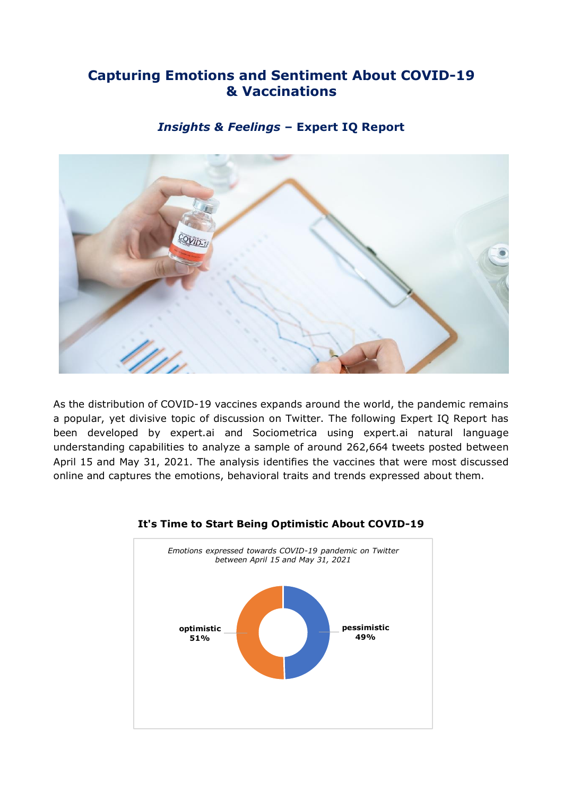# **Capturing Emotions and Sentiment About COVID-19 & Vaccinations**

## *Insights & Feelings* **– Expert IQ Report**



As the distribution of COVID-19 vaccines expands around the world, the pandemic remains a popular, yet divisive topic of discussion on Twitter. The following Expert IQ Report has been developed by expert.ai and Sociometrica using expert.ai natural language understanding capabilities to analyze a sample of around 262,664 tweets posted between April 15 and May 31, 2021. The analysis identifies the vaccines that were most discussed online and captures the emotions, behavioral traits and trends expressed about them.



#### **It's Time to Start Being Optimistic About COVID-19**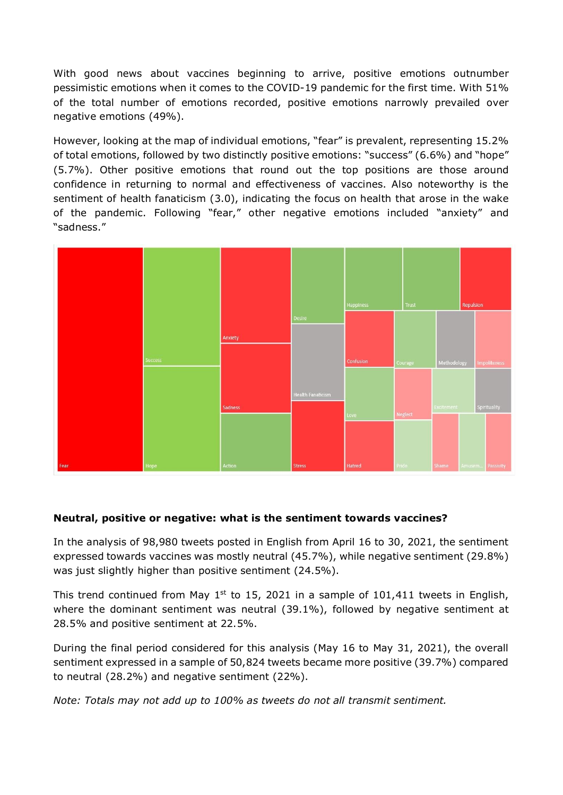With good news about vaccines beginning to arrive, positive emotions outnumber pessimistic emotions when it comes to the COVID-19 pandemic for the first time. With 51% of the total number of emotions recorded, positive emotions narrowly prevailed over negative emotions (49%).

However, looking at the map of individual emotions, "fear" is prevalent, representing 15.2% of total emotions, followed by two distinctly positive emotions: "success" (6.6%) and "hope" (5.7%). Other positive emotions that round out the top positions are those around confidence in returning to normal and effectiveness of vaccines. Also noteworthy is the sentiment of health fanaticism (3.0), indicating the focus on health that arose in the wake of the pandemic. Following "fear," other negative emotions included "anxiety" and "sadness."



## **Neutral, positive or negative: what is the sentiment towards vaccines?**

In the analysis of 98,980 tweets posted in English from April 16 to 30, 2021, the sentiment expressed towards vaccines was mostly neutral (45.7%), while negative sentiment (29.8%) was just slightly higher than positive sentiment (24.5%).

This trend continued from May  $1<sup>st</sup>$  to 15, 2021 in a sample of 101,411 tweets in English, where the dominant sentiment was neutral (39.1%), followed by negative sentiment at 28.5% and positive sentiment at 22.5%.

During the final period considered for this analysis (May 16 to May 31, 2021), the overall sentiment expressed in a sample of 50,824 tweets became more positive (39.7%) compared to neutral (28.2%) and negative sentiment (22%).

*Note: Totals may not add up to 100% as tweets do not all transmit sentiment.*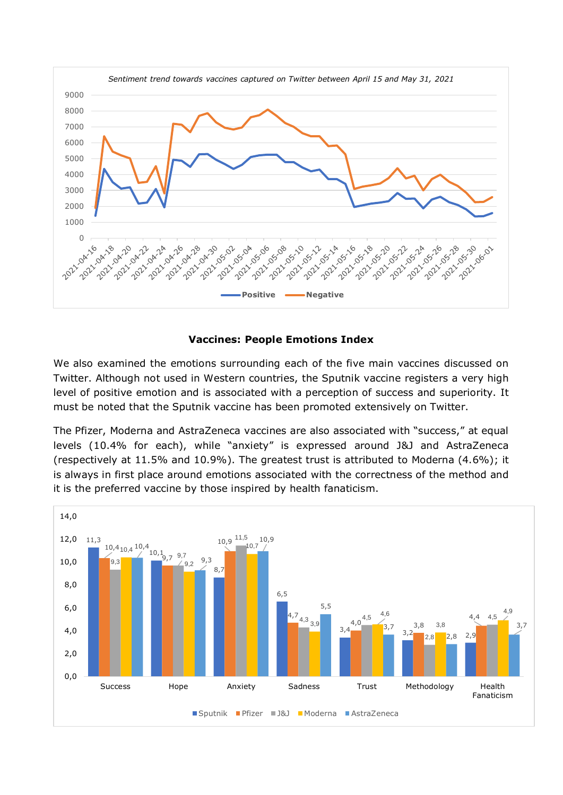

## **Vaccines: People Emotions Index**

We also examined the emotions surrounding each of the five main vaccines discussed on Twitter. Although not used in Western countries, the Sputnik vaccine registers a very high level of positive emotion and is associated with a perception of success and superiority. It must be noted that the Sputnik vaccine has been promoted extensively on Twitter.

The Pfizer, Moderna and AstraZeneca vaccines are also associated with "success," at equal levels (10.4% for each), while "anxiety" is expressed around J&J and AstraZeneca (respectively at 11.5% and 10.9%). The greatest trust is attributed to Moderna (4.6%); it is always in first place around emotions associated with the correctness of the method and it is the preferred vaccine by those inspired by health fanaticism.

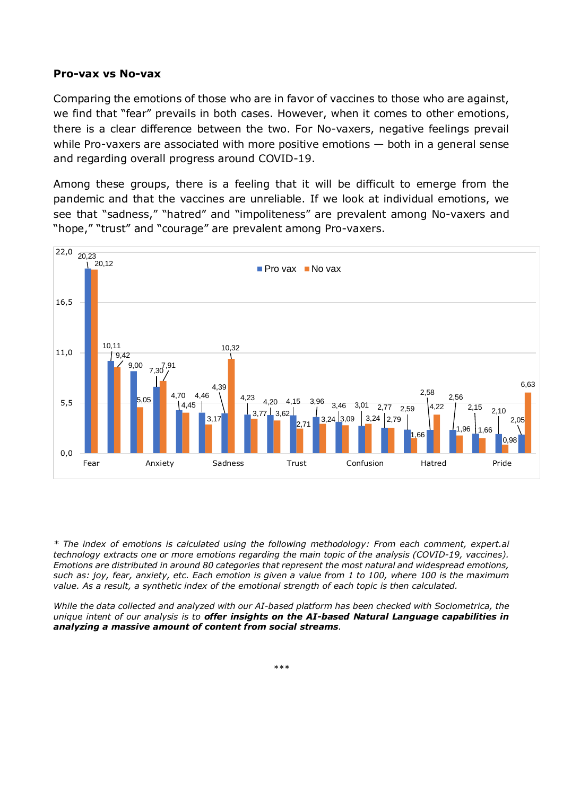#### **Pro-vax vs No-vax**

Comparing the emotions of those who are in favor of vaccines to those who are against, we find that "fear" prevails in both cases. However, when it comes to other emotions, there is a clear difference between the two. For No-vaxers, negative feelings prevail while Pro-vaxers are associated with more positive emotions — both in a general sense and regarding overall progress around COVID-19.

Among these groups, there is a feeling that it will be difficult to emerge from the pandemic and that the vaccines are unreliable. If we look at individual emotions, we see that "sadness," "hatred" and "impoliteness" are prevalent among No-vaxers and "hope," "trust" and "courage" are prevalent among Pro-vaxers.



*\* The index of emotions is calculated using the following methodology: From each comment, expert.ai technology extracts one or more emotions regarding the main topic of the analysis (COVID-19, vaccines). Emotions are distributed in around 80 categories that represent the most natural and widespread emotions,* such as: joy, fear, anxiety, etc. Each emotion is given a value from 1 to 100, where 100 is the maximum *value. As a result, a synthetic index of the emotional strength of each topic is then calculated.*

*While the data collected and analyzed with our AI-based platform has been checked with Sociometrica, the unique intent of our analysis is to offer insights on the AI-based Natural Language capabilities in analyzing a massive amount of content from social streams.*